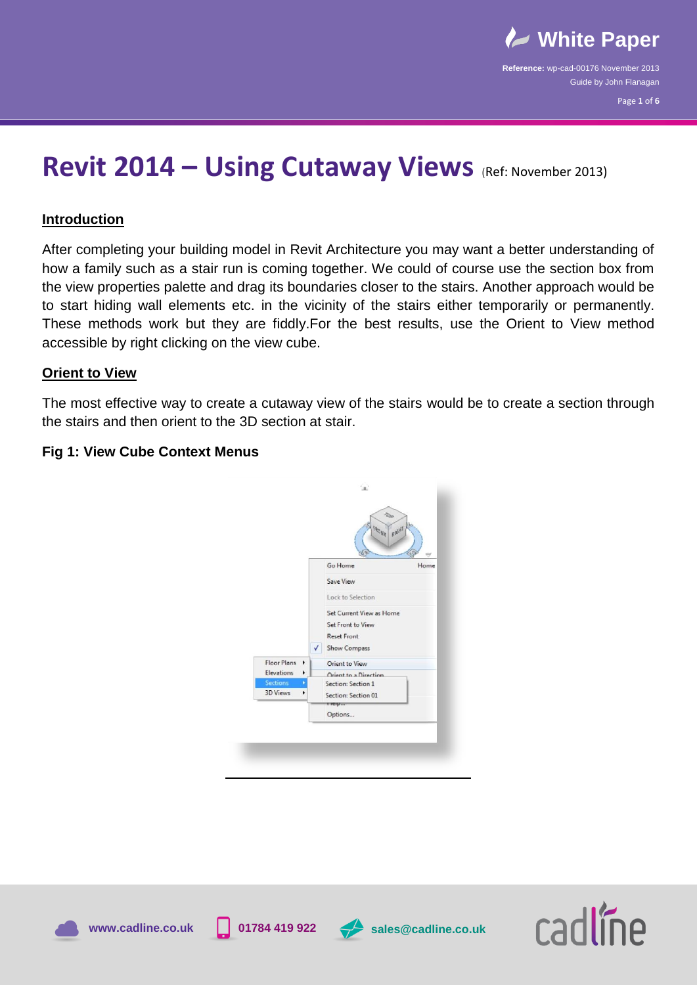

# **Revit 2014 – Using Cutaway Views** (Ref: November 2013)

## **Introduction**

After completing your building model in Revit Architecture you may want a better understanding of how a family such as a stair run is coming together. We could of course use the section box from the view properties palette and drag its boundaries closer to the stairs. Another approach would be to start hiding wall elements etc. in the vicinity of the stairs either temporarily or permanently. These methods work but they are fiddly.For the best results, use the Orient to View method accessible by right clicking on the view cube.

## **Orient to View**

The most effective way to create a cutaway view of the stairs would be to create a section through the stairs and then orient to the 3D section at stair.

## **Fig 1: View Cube Context Menus**









**www.cadline.co.uk 01784 419 922 sales@cadline.co.uk**

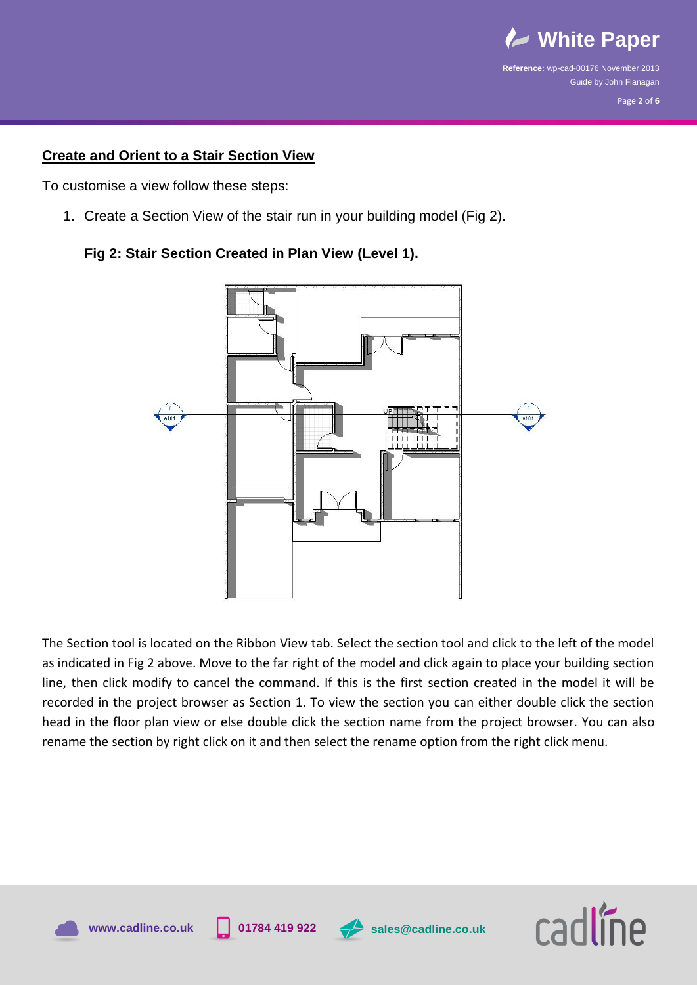

## **Create and Orient to a Stair Section View**

To customise a view follow these steps:

1. Create a Section View of the stair run in your building model (Fig 2).





The Section tool is located on the Ribbon View tab. Select the section tool and click to the left of the model as indicated in Fig 2 above. Move to the far right of the model and click again to place your building section line, then click modify to cancel the command. If this is the first section created in the model it will be recorded in the project browser as Section 1. To view the section you can either double click the section head in the floor plan view or else double click the section name from the project browser. You can also rename the section by right click on it and then select the rename option from the right click menu.





**www.cadline.co.uk 01784 419 922 sales@cadline.co.uk**

cadlíne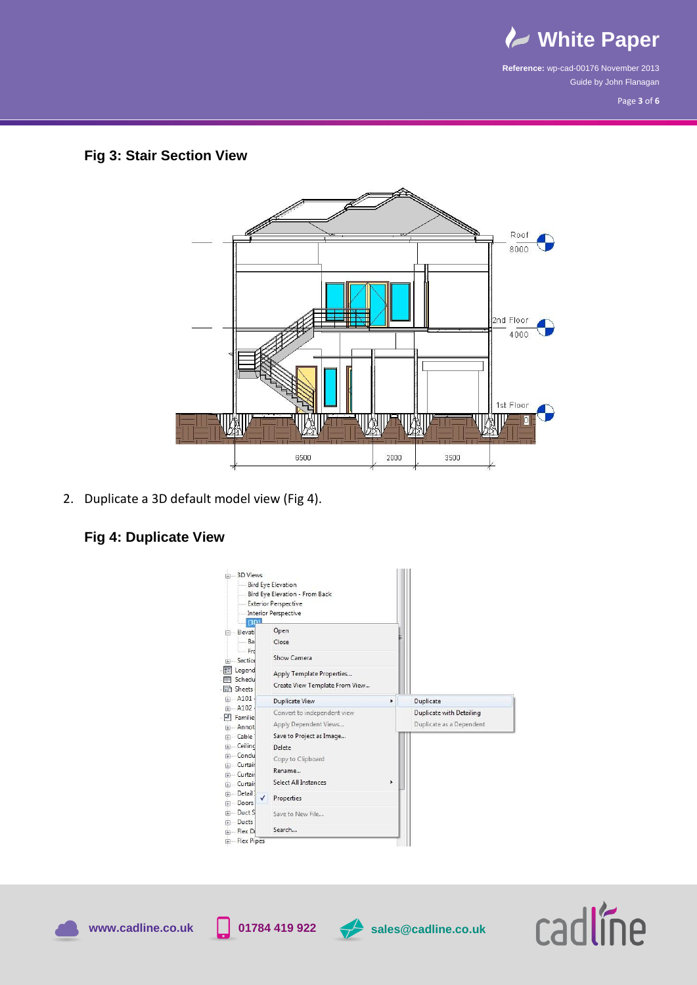

Page **3** of **6**

## **Fig 3: Stair Section View**

![](_page_2_Figure_4.jpeg)

2. Duplicate a 3D default model view (Fig 4).

# **Fig 4: Duplicate View**

|                                                                                                                         | - Bird Eye Elevation<br>-Bird Eye Elevation - From Back<br>Exterior Perspective<br>Interior Perspective                                           |   |                                                      |
|-------------------------------------------------------------------------------------------------------------------------|---------------------------------------------------------------------------------------------------------------------------------------------------|---|------------------------------------------------------|
| (3P)<br>Elevati<br>Ba                                                                                                   | Open<br>Close                                                                                                                                     |   |                                                      |
| Frc<br>- Section                                                                                                        | Show Camera                                                                                                                                       |   |                                                      |
| Legend<br>Schedu<br><b>国</b> Sheets                                                                                     | Apply Template Properties<br>Create View Template From View                                                                                       |   |                                                      |
| A101                                                                                                                    | <b>Duplicate View</b>                                                                                                                             | Þ | Duplicate                                            |
| 中 A102<br><b>凹 Familie</b><br>+ Annot<br>Fi-Cable<br>F- Ceiling<br>Fi-Condu<br>Fi-Curtain<br>Fi-Curtain<br>Fill-Curtain | Convert to independent view<br>Apply Dependent Views<br>Save to Project as Image<br>Delete<br>Copy to Clipboard<br>Rename<br>Select All Instances | r | Duplicate with Detailing<br>Duplicate as a Dependent |
| Fi-Detail<br>✓                                                                                                          | Properties                                                                                                                                        |   |                                                      |
| <b>IFI</b> Doors                                                                                                        |                                                                                                                                                   |   |                                                      |
| in Duct S<br>i Ducts                                                                                                    | Save to New File                                                                                                                                  |   |                                                      |

![](_page_2_Picture_8.jpeg)

![](_page_2_Picture_11.jpeg)

**www.cadline.co.uk 01784 419 922 sales@cadline.co.uk**

![](_page_2_Picture_13.jpeg)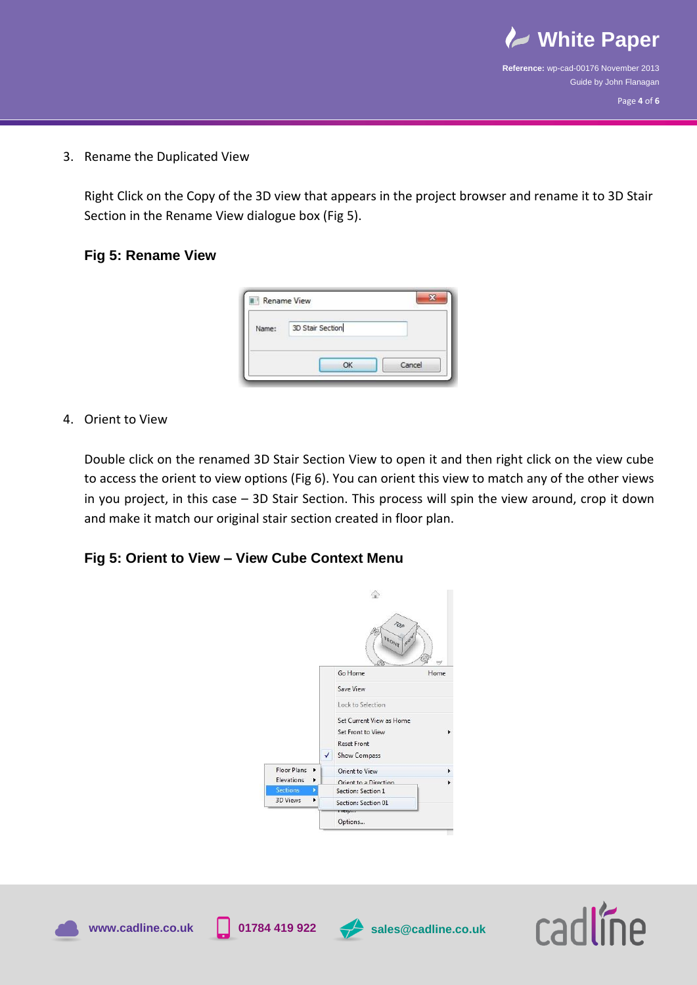![](_page_3_Picture_0.jpeg)

3. Rename the Duplicated View

Right Click on the Copy of the 3D view that appears in the project browser and rename it to 3D Stair Section in the Rename View dialogue box (Fig 5).

## **Fig 5: Rename View**

| 3D Stair Section |       |  |
|------------------|-------|--|
|                  | Name: |  |
|                  |       |  |
|                  |       |  |

## 4. Orient to View

Double click on the renamed 3D Stair Section View to open it and then right click on the view cube to access the orient to view options (Fig 6). You can orient this view to match any of the other views in you project, in this case – 3D Stair Section. This process will spin the view around, crop it down and make it match our original stair section created in floor plan.

## **Fig 5: Orient to View – View Cube Context Menu**

![](_page_3_Picture_9.jpeg)

![](_page_3_Picture_10.jpeg)

![](_page_3_Picture_12.jpeg)

![](_page_3_Picture_13.jpeg)

**www.cadline.co.uk 01784 419 922 sales@cadline.co.uk**

![](_page_3_Picture_15.jpeg)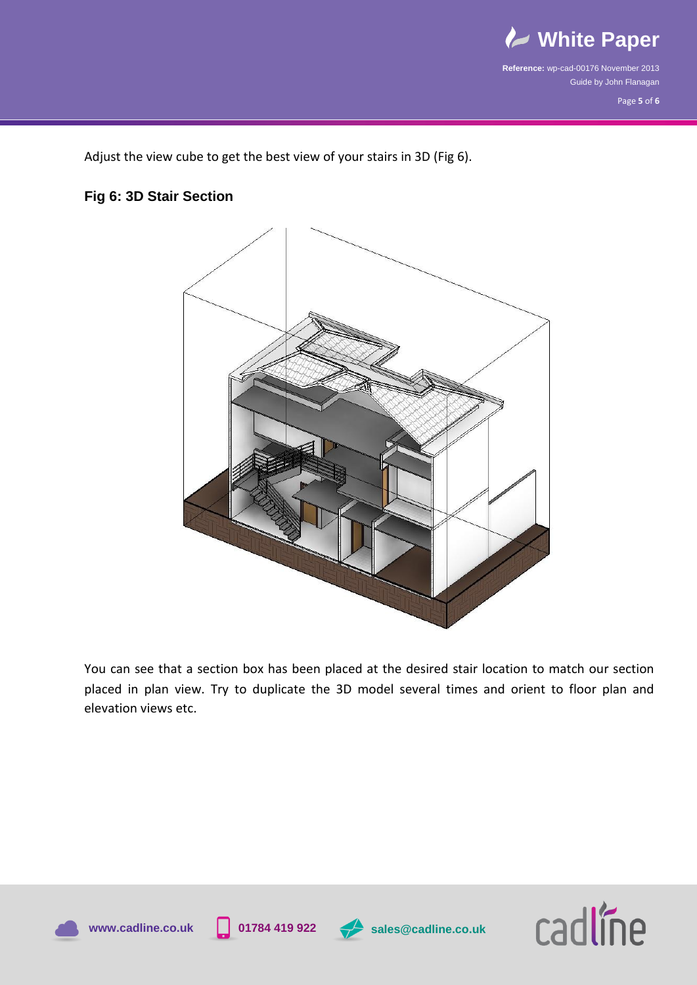![](_page_4_Picture_0.jpeg)

Page **5** of **6**

Adjust the view cube to get the best view of your stairs in 3D (Fig 6).

# **Fig 6: 3D Stair Section**

![](_page_4_Figure_5.jpeg)

You can see that a section box has been placed at the desired stair location to match our section placed in plan view. Try to duplicate the 3D model several times and orient to floor plan and elevation views etc.

![](_page_4_Picture_7.jpeg)

![](_page_4_Picture_9.jpeg)

![](_page_4_Picture_10.jpeg)

![](_page_4_Picture_12.jpeg)